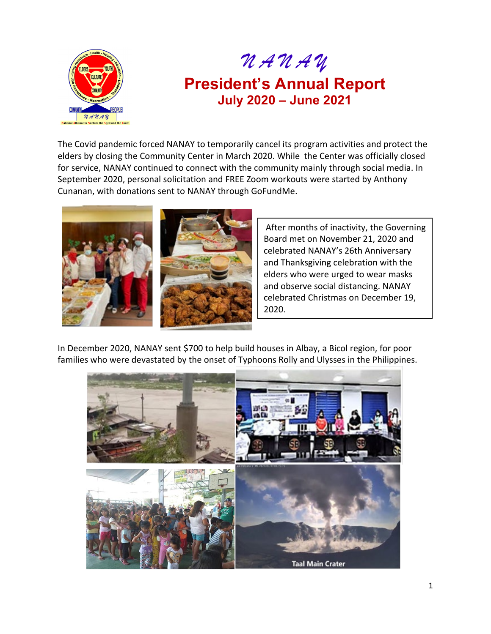

*N A N A Y*

## **President's Annual Report July 2020 – June 2021**

The Covid pandemic forced NANAY to temporarily cancel its program activities and protect the elders by closing the Community Center in March 2020. While the Center was officially closed for service, NANAY continued to connect with the community mainly through social media. In September 2020, personal solicitation and FREE Zoom workouts were started by Anthony Cunanan, with donations sent to NANAY through GoFundMe.



After months of inactivity, the Governing Board met on November 21, 2020 and celebrated NANAY's 26th Anniversary and Thanksgiving celebration with the elders who were urged to wear masks and observe social distancing. NANAY celebrated Christmas on December 19, 2020.

In December 2020, NANAY sent \$700 to help build houses in Albay, a Bicol region, for poor families who were devastated by the onset of Typhoons Rolly and Ulysses in the Philippines.

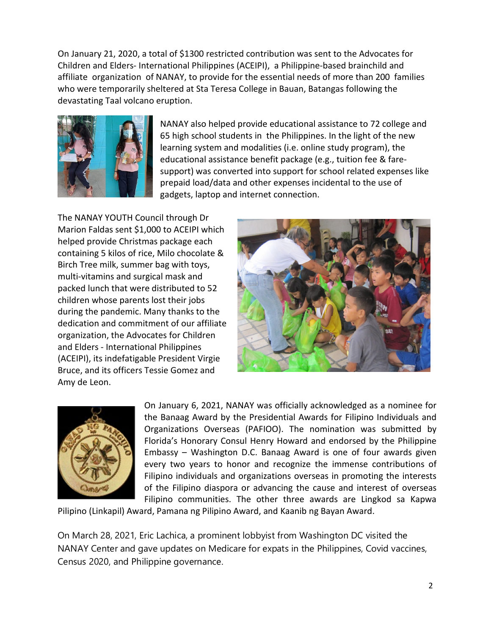On January 21, 2020, a total of \$1300 restricted contribution was sent to the Advocates for Children and Elders- International Philippines (ACEIPI), a Philippine-based brainchild and affiliate organization of NANAY, to provide for the essential needs of more than 200 families who were temporarily sheltered at Sta Teresa College in Bauan, Batangas following the devastating Taal volcano eruption.



NANAY also helped provide educational assistance to 72 college and 65 high school students in the Philippines. In the light of the new learning system and modalities (i.e. online study program), the educational assistance benefit package (e.g., tuition fee & faresupport) was converted into support for school related expenses like prepaid load/data and other expenses incidental to the use of gadgets, laptop and internet connection.

The NANAY YOUTH Council through Dr Marion Faldas sent \$1,000 to ACEIPI which helped provide Christmas package each containing 5 kilos of rice, Milo chocolate & Birch Tree milk, summer bag with toys, multi-vitamins and surgical mask and packed lunch that were distributed to 52 children whose parents lost their jobs during the pandemic. Many thanks to the dedication and commitment of our affiliate organization, the Advocates for Children and Elders - International Philippines (ACEIPI), its indefatigable President Virgie Bruce, and its officers Tessie Gomez and Amy de Leon.





On January 6, 2021, NANAY was officially acknowledged as a nominee for the Banaag Award by the Presidential Awards for Filipino Individuals and Organizations Overseas (PAFIOO). The nomination was submitted by Florida's Honorary Consul Henry Howard and endorsed by the Philippine Embassy – Washington D.C. Banaag Award is one of four awards given every two years to honor and recognize the immense contributions of Filipino individuals and organizations overseas in promoting the interests of the Filipino diaspora or advancing the cause and interest of overseas Filipino communities. The other three awards are Lingkod sa Kapwa

Pilipino (Linkapil) Award, Pamana ng Pilipino Award, and Kaanib ng Bayan Award.

On March 28, 2021, Eric Lachica, a prominent lobbyist from Washington DC visited the NANAY Center and gave updates on Medicare for expats in the Philippines, Covid vaccines, Census 2020, and Philippine governance.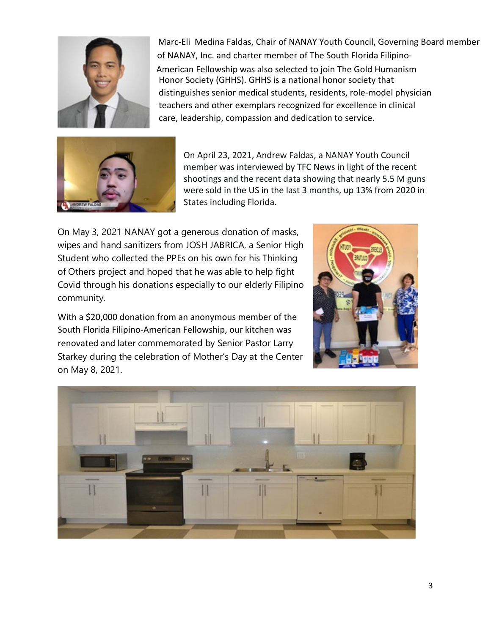

Marc-Eli Medina Faldas, Chair of NANAY Youth Council, Governing Board member of NANAY, Inc. and charter member of The South Florida Filipino-American Fellowship was also selected to join The Gold Humanism Honor Society (GHHS). GHHS is a national honor society that distinguishes senior medical students, residents, role-model physician teachers and other exemplars recognized for excellence in clinical care, leadership, compassion and dedication to service.



On April 23, 2021, Andrew Faldas, a NANAY Youth Council member was interviewed by TFC News in light of the recent shootings and the recent data showing that nearly 5.5 M guns were sold in the US in the last 3 months, up 13% from 2020 in States including Florida.

On May 3, 2021 NANAY got a generous donation of masks, wipes and hand sanitizers from JOSH JABRICA, a Senior High Student who collected the PPEs on his own for his Thinking of Others project and hoped that he was able to help fight Covid through his donations especially to our elderly Filipino community.

With a \$20,000 donation from an anonymous member of the South Florida Filipino-American Fellowship, our kitchen was renovated and later commemorated by Senior Pastor Larry Starkey during the celebration of Mother's Day at the Center on May 8, 2021.